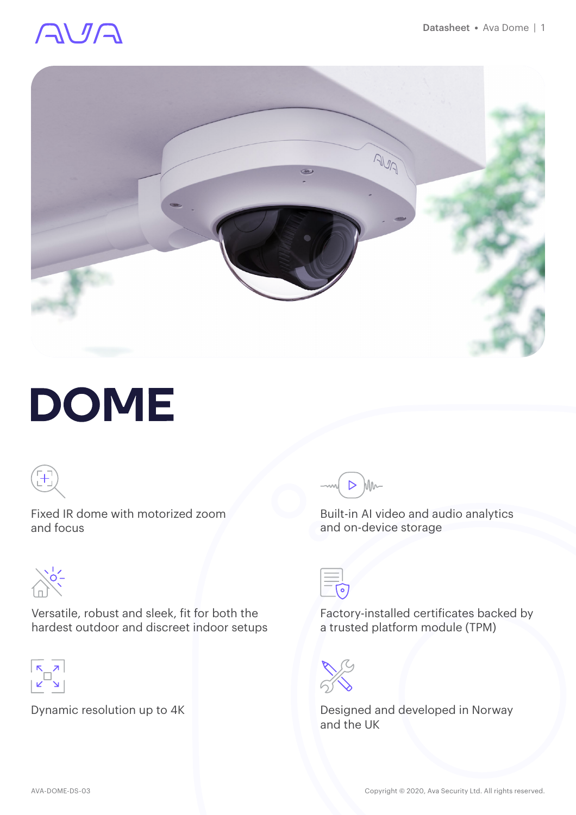# AVA



# **DOME**



Fixed IR dome with motorized zoom and focus



Versatile, robust and sleek, fit for both the hardest outdoor and discreet indoor setups



Dynamic resolution up to 4K



Built-in AI video and audio analytics and on-device storage



Factory-installed certificates backed by a trusted platform module (TPM)



Designed and developed in Norway and the UK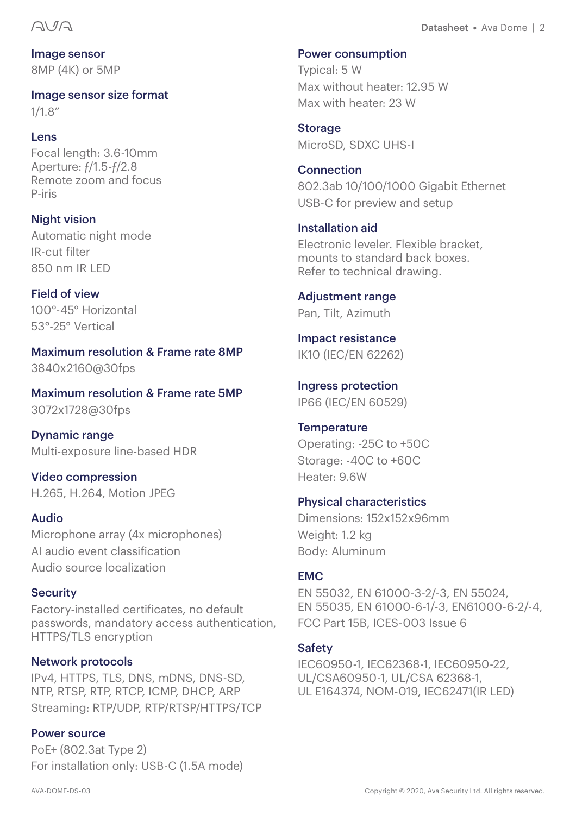Image sensor 8MP (4K) or 5MP

Image sensor size format 1/1.8"

#### Lens

Focal length: 3.6-10mm Aperture: ƒ/1.5-ƒ/2.8 Remote zoom and focus P-iris

Night vision Automatic night mode IR-cut filter 850 nm IR LED

Field of view 100°-45° Horizontal 53°-25° Vertical

Maximum resolution & Frame rate 8MP 3840x2160@30fps

Maximum resolution & Frame rate 5MP 3072x1728@30fps

Dynamic range Multi-exposure line-based HDR

Video compression H.265, H.264, Motion JPEG

#### Audio

Microphone array (4x microphones) AI audio event classification Audio source localization

#### **Security**

Factory-installed certificates, no default passwords, mandatory access authentication, HTTPS/TLS encryption

#### Network protocols

IPv4, HTTPS, TLS, DNS, mDNS, DNS-SD, NTP, RTSP, RTP, RTCP, ICMP, DHCP, ARP Streaming: RTP/UDP, RTP/RTSP/HTTPS/TCP

#### Power source

PoE+ (802.3at Type 2) For installation only: USB-C (1.5A mode) Typical: 5 W Max without heater: 12.95 W Max with heater: 23 W

Storage MicroSD, SDXC UHS-I

**Connection** 802.3ab 10/100/1000 Gigabit Ethernet USB-C for preview and setup

#### Installation aid

Electronic leveler. Flexible bracket, mounts to standard back boxes. Refer to technical drawing.

#### Adjustment range Pan, Tilt, Azimuth

Impact resistance IK10 (IEC/EN 62262)

Ingress protection IP66 (IEC/EN 60529)

**Temperature** Operating: -25C to +50C Storage: -40C to +60C Heater: 9.6W

#### Physical characteristics

Dimensions: 152x152x96mm Weight: 1.2 kg Body: Aluminum

#### **EMC**

EN 55032, EN 61000-3-2/-3, EN 55024, EN 55035, EN 61000-6-1/-3, EN61000-6-2/-4, FCC Part 15B, ICES-003 Issue 6

#### **Safety**

IEC60950-1, IEC62368-1, IEC60950-22, UL/CSA60950-1, UL/CSA 62368-1, UL E164374, NOM-019, IEC62471(IR LED)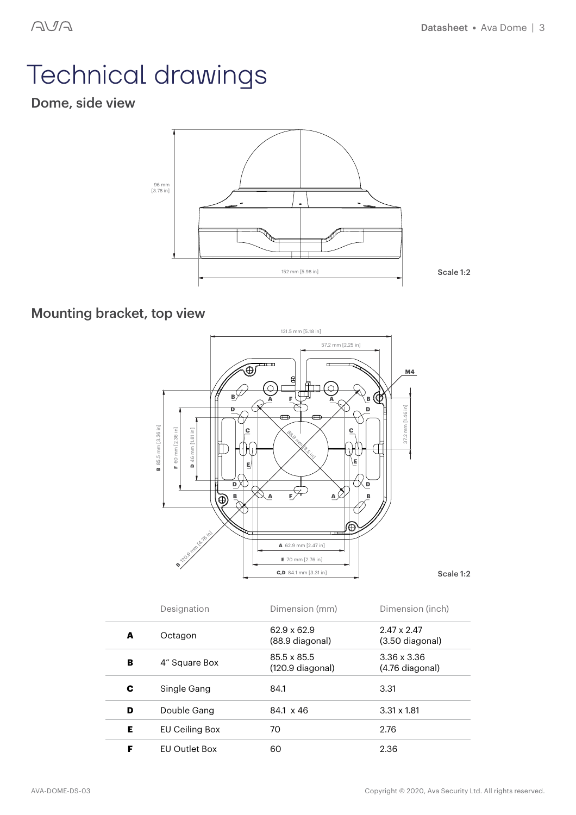# Technical drawings

### Dome, side view



### Mounting bracket, top view



|   | Designation          | Dimension (mm)                  | Dimension (inch)                      |
|---|----------------------|---------------------------------|---------------------------------------|
| A | Octagon              | 62.9 x 62.9<br>(88.9 diagonal)  | $2.47 \times 2.47$<br>(3.50 diagonal) |
| в | 4" Square Box        | 85.5 x 85.5<br>(120.9 diagonal) | $3.36 \times 3.36$<br>(4.76 diagonal) |
| С | Single Gang          | 84.1                            | 3.31                                  |
| D | Double Gang          | 84.1 x 46                       | $3.31 \times 1.81$                    |
| Е | EU Ceiling Box       | 70                              | 2.76                                  |
| F | <b>FU Outlet Box</b> | 60                              | 2.36                                  |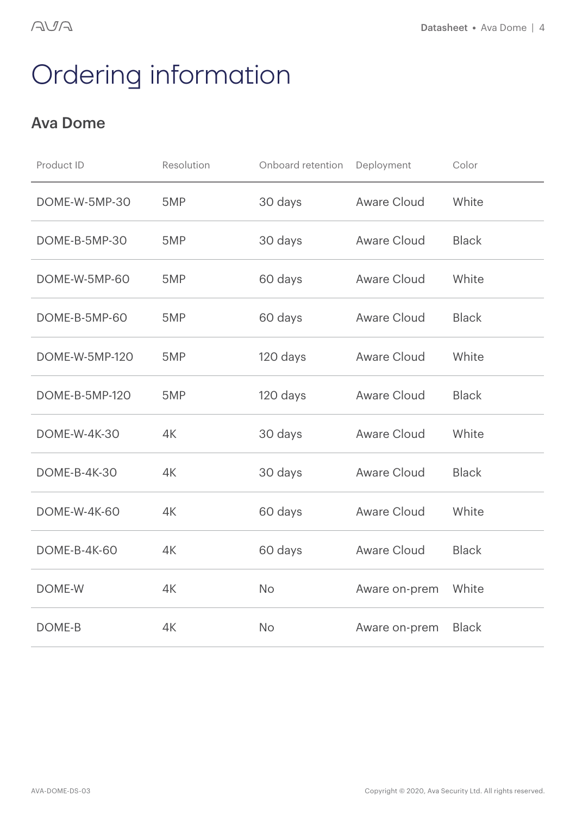## Ordering information

### Ava Dome

| Product ID            | Resolution | Onboard retention | Deployment    | Color        |
|-----------------------|------------|-------------------|---------------|--------------|
| DOME-W-5MP-30         | 5MP        | 30 days           | Aware Cloud   | White        |
| DOME-B-5MP-30         | 5MP        | 30 days           | Aware Cloud   | <b>Black</b> |
| DOME-W-5MP-60         | 5MP        | 60 days           | Aware Cloud   | White        |
| DOME-B-5MP-60         | 5MP        | 60 days           | Aware Cloud   | <b>Black</b> |
| DOME-W-5MP-120        | 5MP        | 120 days          | Aware Cloud   | White        |
| <b>DOME-B-5MP-120</b> | 5MP        | 120 days          | Aware Cloud   | <b>Black</b> |
| <b>DOME-W-4K-30</b>   | 4K         | 30 days           | Aware Cloud   | White        |
| <b>DOME-B-4K-30</b>   | 4K         | 30 days           | Aware Cloud   | <b>Black</b> |
| <b>DOME-W-4K-60</b>   | 4K         | 60 days           | Aware Cloud   | White        |
| <b>DOME-B-4K-60</b>   | 4K         | 60 days           | Aware Cloud   | <b>Black</b> |
| DOME-W                | 4K         | No                | Aware on-prem | White        |
| DOME-B                | 4K         | <b>No</b>         | Aware on-prem | <b>Black</b> |